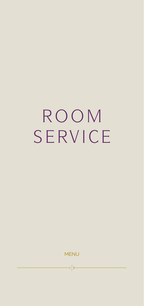# ROOM SERVICE

MENU

 $\overline{\phantom{a}}$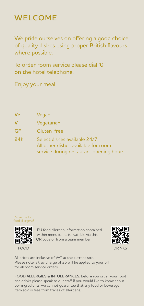## **WELCOME**

We pride ourselves on offering a good choice of quality dishes using proper British flavours where possible.

To order room service please dial '0' on the hotel telephone.

Enjoy your meal!

| Ve         | Vegan                                                                |
|------------|----------------------------------------------------------------------|
| $\vee$     | Vegetarian                                                           |
| <b>GF</b>  | Gluten-free                                                          |
| <b>24h</b> | Select dishes available 24/7.<br>All other dishes available for room |
|            | service during restaurant opening hours.                             |





EU food allergen information contained within menu items is available via this QR code or from a team member.



FOOD DRINKS AND DRINKS

All prices are inclusive of VAT at the current rate. Please note: a tray charge of £5 will be applied to your bill for all room service orders.

**FOOD ALLERGIES & INTOLERANCES:** before you order your food and drinks please speak to our staff if you would like to know about our ingredients; we cannot guarantee that any food or beverage item sold is free from traces of allergens.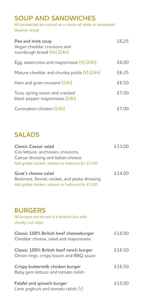#### **SOUP AND SANDWICHES**

*All sandwiches are served on a choice of white or wholemeal bloomer bread* 

| Pea and mint soup<br>Vegan cheddar croutons and<br>sourdough bread (Ve) (24h) | £6.25 |
|-------------------------------------------------------------------------------|-------|
| Egg, watercress and mayonnaise (V) (24h)                                      | £6.00 |
| Mature cheddar and chunky pickle (V) (24h)                                    | £6.25 |
| Ham and grain mustard (24h)                                                   | £6.50 |
| Tuna, spring onion and cracked<br>black pepper mayonnaise (24h)               | £7.00 |
| Coronation chicken (24h)                                                      |       |

#### **SALADS**

| Classic Caesar salad<br>Cos lettuce, anchovies, croutons,<br>Caesar dressing and Italian cheese<br>Add grilled chicken, salmon or halloumi for £3.00 | £13.00 |
|------------------------------------------------------------------------------------------------------------------------------------------------------|--------|
| Goat's cheese salad<br>Beetroot, fennel, rocket, and pesto dressing<br>Add grilled chicken, salmon or halloumi for £3.00                             | £14.00 |
| <b>BURGERS</b><br>All burgers are served in a brioche bun with<br>chunky-cut chips                                                                   |        |
| Classic 100% British beef cheeseburger<br>Cheddar cheese, salad and mayonnaise                                                                       | £16.00 |
| Classic 100% British beef ranch burger<br>Onion rings, crispy bacon and BBQ sauce                                                                    | £16.50 |
| Crispy buttermilk chicken burger<br>Baby gem lettuce and tomato relish                                                                               | £16.50 |
| Falafel and spinach burger<br>Lime yoghurt and tomato relish (V)                                                                                     | £15.00 |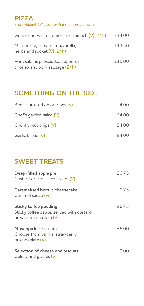#### **PIZZA** *Stone-baked 12" pizza with a rich tomato sauce*

| Goat's cheese, red onion and spinach (V) (24h)                        | £14.00 |
|-----------------------------------------------------------------------|--------|
| Margherita, tomato, mozzarella,<br>herbs and rocket (V) (24h)         | £13.50 |
| Pork salami, prosciutto, pepperoni,<br>chorizo and pork sausage (24h) | £15.00 |

## **SOMETHING ON THE SIDE**

| Beer-battered onion rings (V) | £4.00 |
|-------------------------------|-------|
| Chef's garden salad (V)       | £4.00 |
| Chunky-cut chips (V)          | £4.00 |
| Garlic bread (V)              | £4.00 |

## **SWEET TREATS**

| Deep-filled apple pie<br>Custard or vanilla ice cream (V)                                     | £6.75 |
|-----------------------------------------------------------------------------------------------|-------|
| Caramelised biscuit cheesecake<br>Caramel sauce (Ve)                                          | £6.75 |
| Sticky toffee pudding<br>Sticky toffee sauce, served with custard<br>or vanilla ice cream (V) | £6.75 |
| Movenpick ice cream<br>Choose from vanilla, strawberry<br>or chocolate (V)                    | £6.00 |
| Selection of cheese and biscuits<br>Celery and grapes (V)                                     | £9.00 |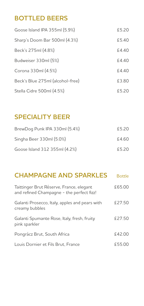### **BOTTLED BEERS**

| Goose Island IPA 355ml (5.9%)    | £5.20 |
|----------------------------------|-------|
| Sharp's Doom Bar 500ml (4.3%)    | £5.40 |
| Beck's 275ml (4.8%)              | £440  |
| Budweiser 330ml (5%)             | £4.40 |
| Corona 330ml (4.5%)              | £4.40 |
| Beck's Blue 275ml (alcohol-free) | £3.80 |
| Stella Cidre 500ml (4.5%)        | £5.20 |

#### **SPECIALITY BEER**

| BrewDog Punk IPA 330ml (5.4%) | £5.20 |
|-------------------------------|-------|
| Singha Beer 330ml (5.0%)      | £4.60 |
| Goose Island 312 355ml (4.2%) | £5.20 |

## **CHAMPAGNE AND SPARKLES** Bottle

| Taittinger Brut Réserve, France, elegant<br>and refined Champagne - the perfect fizz! | £65.00 |
|---------------------------------------------------------------------------------------|--------|
| Galanti Prosecco, Italy, apples and pears with<br>creamy bubbles                      | £27.50 |
| Galanti Spumante Rose, Italy, fresh, fruity<br>pink sparkler                          | £27.50 |
| Pongrácz Brut, South Africa                                                           | £42.00 |
| Louis Dornier et Fils Brut, France                                                    | £55.00 |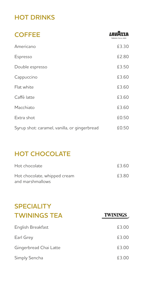## **HOT DRINKS**

| <b>COFFEE</b>                                | 7 D   |
|----------------------------------------------|-------|
| Americano                                    | £3.30 |
| Espresso                                     | £2.80 |
| Double espresso                              | £3.50 |
| Cappuccino                                   | £3.60 |
| Flat white                                   | £3.60 |
| Caffé latte                                  | £3.60 |
| Macchiato                                    | £3.60 |
| Extra shot                                   | £0.50 |
| Syrup shot: caramel, vanilla, or gingerbread | £0.50 |

## **HOT CHOCOLATE**

| Hot chocolate                |       |
|------------------------------|-------|
| Hot chocolate, whipped cream | £3.80 |
| and marshmallows             |       |

## **SPECIALITY TWININGS TEA**

| English Breakfast      | £3.00 |
|------------------------|-------|
| Earl Grey              | £3.00 |
| Gingerbread Chai Latte | £3.00 |
| Simply Sencha          | £3.00 |

**TWININGS**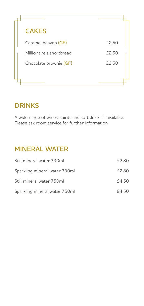

#### **DRINKS**

A wide range of wines, spirits and soft drinks is available. Please ask room service for further information.

### **MINERAL WATER**

| Still mineral water 330ml     | £2.80 |
|-------------------------------|-------|
| Sparkling mineral water 330ml | £2.80 |
| Still mineral water 750ml     | £4.50 |
| Sparkling mineral water 750ml | £4.50 |